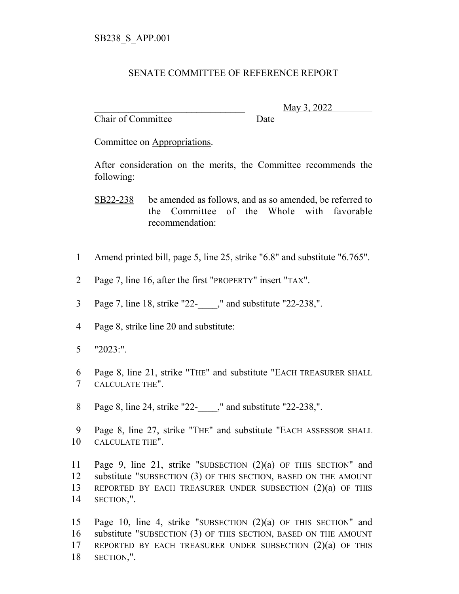## SENATE COMMITTEE OF REFERENCE REPORT

Chair of Committee Date

\_\_\_\_\_\_\_\_\_\_\_\_\_\_\_\_\_\_\_\_\_\_\_\_\_\_\_\_\_\_\_ May 3, 2022

Committee on Appropriations.

After consideration on the merits, the Committee recommends the following:

SB22-238 be amended as follows, and as so amended, be referred to the Committee of the Whole with favorable recommendation:

- Amend printed bill, page 5, line 25, strike "6.8" and substitute "6.765".
- Page 7, line 16, after the first "PROPERTY" insert "TAX".
- Page 7, line 18, strike "22-\_\_\_\_," and substitute "22-238,".
- Page 8, strike line 20 and substitute:
- "2023:".
- Page 8, line 21, strike "THE" and substitute "EACH TREASURER SHALL CALCULATE THE".
- 8 Page 8, line 24, strike "22- ," and substitute "22-238,".
- Page 8, line 27, strike "THE" and substitute "EACH ASSESSOR SHALL CALCULATE THE".

 Page 9, line 21, strike "SUBSECTION (2)(a) OF THIS SECTION" and substitute "SUBSECTION (3) OF THIS SECTION, BASED ON THE AMOUNT REPORTED BY EACH TREASURER UNDER SUBSECTION (2)(a) OF THIS SECTION,".

 Page 10, line 4, strike "SUBSECTION (2)(a) OF THIS SECTION" and substitute "SUBSECTION (3) OF THIS SECTION, BASED ON THE AMOUNT REPORTED BY EACH TREASURER UNDER SUBSECTION (2)(a) OF THIS SECTION,".